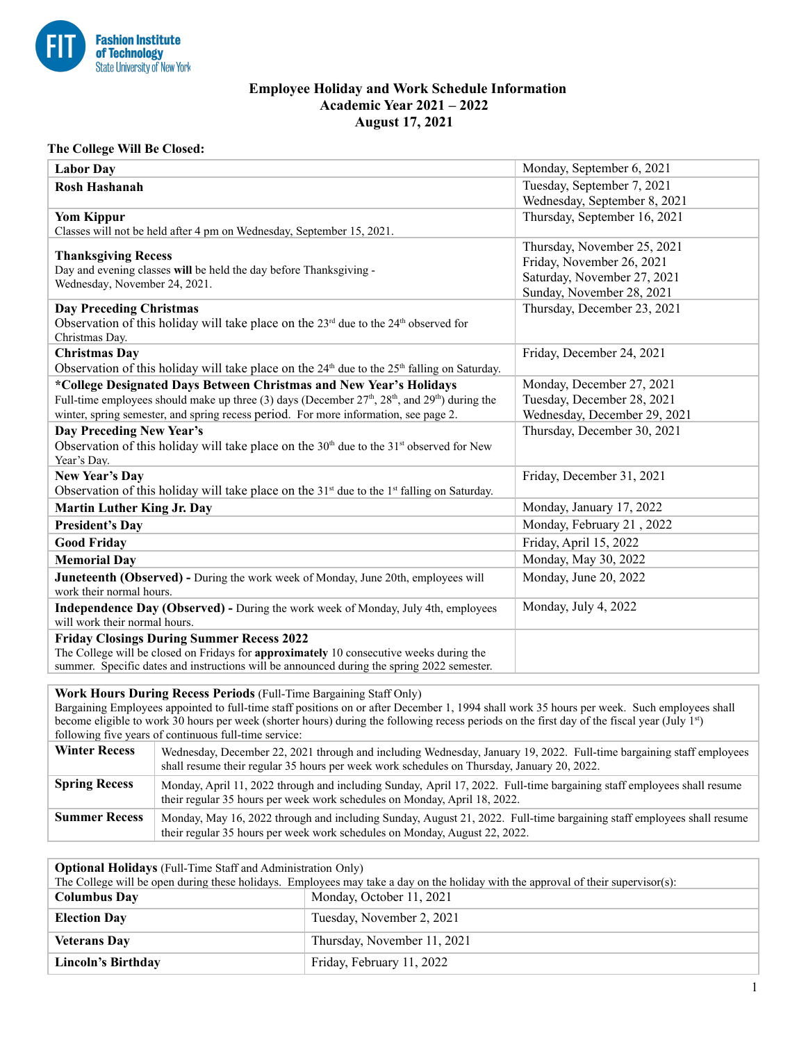

## **Employee Holiday and Work Schedule Information Academic Year 2021 – 2022 August 17, 2021**

## **The College Will Be Closed:**

| <b>Labor Day</b>                                                                                      | Monday, September 6, 2021    |
|-------------------------------------------------------------------------------------------------------|------------------------------|
| <b>Rosh Hashanah</b>                                                                                  | Tuesday, September 7, 2021   |
|                                                                                                       | Wednesday, September 8, 2021 |
| <b>Yom Kippur</b>                                                                                     | Thursday, September 16, 2021 |
| Classes will not be held after 4 pm on Wednesday, September 15, 2021.                                 |                              |
| <b>Thanksgiving Recess</b>                                                                            | Thursday, November 25, 2021  |
| Day and evening classes will be held the day before Thanksgiving -                                    | Friday, November 26, 2021    |
| Wednesday, November 24, 2021.                                                                         | Saturday, November 27, 2021  |
|                                                                                                       | Sunday, November 28, 2021    |
| <b>Day Preceding Christmas</b>                                                                        | Thursday, December 23, 2021  |
| Observation of this holiday will take place on the $23rd$ due to the $24th$ observed for              |                              |
| Christmas Day.                                                                                        |                              |
| <b>Christmas Day</b>                                                                                  | Friday, December 24, 2021    |
| Observation of this holiday will take place on the $24th$ due to the $25th$ falling on Saturday.      |                              |
| *College Designated Days Between Christmas and New Year's Holidays                                    | Monday, December 27, 2021    |
| Full-time employees should make up three (3) days (December $27th$ , $28th$ , and $29th$ ) during the | Tuesday, December 28, 2021   |
| winter, spring semester, and spring recess period. For more information, see page 2.                  | Wednesday, December 29, 2021 |
| Day Preceding New Year's                                                                              | Thursday, December 30, 2021  |
| Observation of this holiday will take place on the $30th$ due to the $31st$ observed for New          |                              |
| Year's Day.                                                                                           |                              |
| New Year's Day                                                                                        | Friday, December 31, 2021    |
| Observation of this holiday will take place on the $31st$ due to the $1st$ falling on Saturday.       |                              |
| <b>Martin Luther King Jr. Day</b>                                                                     | Monday, January 17, 2022     |
| <b>President's Day</b>                                                                                | Monday, February 21, 2022    |
| <b>Good Friday</b>                                                                                    | Friday, April 15, 2022       |
| <b>Memorial Day</b>                                                                                   | Monday, May 30, 2022         |
| <b>Juneteenth (Observed)</b> - During the work week of Monday, June 20th, employees will              | Monday, June 20, 2022        |
| work their normal hours.                                                                              |                              |
| Independence Day (Observed) - During the work week of Monday, July 4th, employees                     | Monday, July 4, 2022         |
| will work their normal hours.                                                                         |                              |
| <b>Friday Closings During Summer Recess 2022</b>                                                      |                              |
| The College will be closed on Fridays for approximately 10 consecutive weeks during the               |                              |
| summer. Specific dates and instructions will be announced during the spring 2022 semester.            |                              |

## **Work Hours During Recess Periods** (Full-Time Bargaining Staff Only)

Bargaining Employees appointed to full-time staff positions on or after December 1, 1994 shall work 35 hours per week. Such employees shall become eligible to work 30 hours per week (shorter hours) during the following recess periods on the first day of the fiscal year (July  $1^{st}$ ) following five years of continuous full-time service:

| <b>Winter Recess</b> | Wednesday, December 22, 2021 through and including Wednesday, January 19, 2022. Full-time bargaining staff employees<br>shall resume their regular 35 hours per week work schedules on Thursday, January 20, 2022. |
|----------------------|--------------------------------------------------------------------------------------------------------------------------------------------------------------------------------------------------------------------|
| <b>Spring Recess</b> | Monday, April 11, 2022 through and including Sunday, April 17, 2022. Full-time bargaining staff employees shall resume<br>their regular 35 hours per week work schedules on Monday, April 18, 2022.                |
| <b>Summer Recess</b> | Monday, May 16, 2022 through and including Sunday, August 21, 2022. Full-time bargaining staff employees shall resume<br>their regular 35 hours per week work schedules on Monday, August 22, 2022.                |

| <b>Optional Holidays</b> (Full-Time Staff and Administration Only)                                                                |                             |  |
|-----------------------------------------------------------------------------------------------------------------------------------|-----------------------------|--|
| The College will be open during these holidays. Employees may take a day on the holiday with the approval of their supervisor(s): |                             |  |
| <b>Columbus Day</b>                                                                                                               | Monday, October 11, 2021    |  |
| <b>Election Day</b>                                                                                                               | Tuesday, November 2, 2021   |  |
| <b>Veterans Day</b>                                                                                                               | Thursday, November 11, 2021 |  |
| Lincoln's Birthday                                                                                                                | Friday, February 11, 2022   |  |